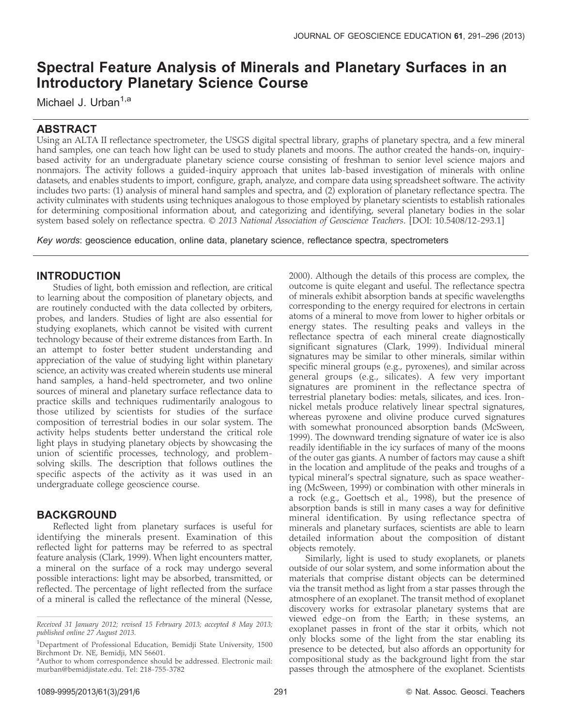# Spectral Feature Analysis of Minerals and Planetary Surfaces in an Introductory Planetary Science Course

Michael J. Urban<sup>1,a</sup>

# ABSTRACT

Using an ALTA II reflectance spectrometer, the USGS digital spectral library, graphs of planetary spectra, and a few mineral hand samples, one can teach how light can be used to study planets and moons. The author created the hands-on, inquirybased activity for an undergraduate planetary science course consisting of freshman to senior level science majors and nonmajors. The activity follows a guided-inquiry approach that unites lab-based investigation of minerals with online datasets, and enables students to import, configure, graph, analyze, and compare data using spreadsheet software. The activity includes two parts: (1) analysis of mineral hand samples and spectra, and (2) exploration of planetary reflectance spectra. The activity culminates with students using techniques analogous to those employed by planetary scientists to establish rationales for determining compositional information about, and categorizing and identifying, several planetary bodies in the solar system based solely on reflectance spectra. © 2013 National Association of Geoscience Teachers. [DOI: 10.5408/12-293.1]

Key words: geoscience education, online data, planetary science, reflectance spectra, spectrometers

# INTRODUCTION

Studies of light, both emission and reflection, are critical to learning about the composition of planetary objects, and are routinely conducted with the data collected by orbiters, probes, and landers. Studies of light are also essential for studying exoplanets, which cannot be visited with current technology because of their extreme distances from Earth. In an attempt to foster better student understanding and appreciation of the value of studying light within planetary science, an activity was created wherein students use mineral hand samples, a hand-held spectrometer, and two online sources of mineral and planetary surface reflectance data to practice skills and techniques rudimentarily analogous to those utilized by scientists for studies of the surface composition of terrestrial bodies in our solar system. The activity helps students better understand the critical role light plays in studying planetary objects by showcasing the union of scientific processes, technology, and problemsolving skills. The description that follows outlines the specific aspects of the activity as it was used in an undergraduate college geoscience course.

# BACKGROUND

Reflected light from planetary surfaces is useful for identifying the minerals present. Examination of this reflected light for patterns may be referred to as spectral feature analysis (Clark, 1999). When light encounters matter, a mineral on the surface of a rock may undergo several possible interactions: light may be absorbed, transmitted, or reflected. The percentage of light reflected from the surface of a mineral is called the reflectance of the mineral (Nesse,

2000). Although the details of this process are complex, the outcome is quite elegant and useful. The reflectance spectra of minerals exhibit absorption bands at specific wavelengths corresponding to the energy required for electrons in certain atoms of a mineral to move from lower to higher orbitals or energy states. The resulting peaks and valleys in the reflectance spectra of each mineral create diagnostically significant signatures (Clark, 1999). Individual mineral signatures may be similar to other minerals, similar within specific mineral groups (e.g., pyroxenes), and similar across general groups (e.g., silicates). A few very important signatures are prominent in the reflectance spectra of terrestrial planetary bodies: metals, silicates, and ices. Ironnickel metals produce relatively linear spectral signatures, whereas pyroxene and olivine produce curved signatures with somewhat pronounced absorption bands (McSween, 1999). The downward trending signature of water ice is also readily identifiable in the icy surfaces of many of the moons of the outer gas giants. A number of factors may cause a shift in the location and amplitude of the peaks and troughs of a typical mineral's spectral signature, such as space weathering (McSween, 1999) or combination with other minerals in a rock (e.g., Goettsch et al., 1998), but the presence of absorption bands is still in many cases a way for definitive mineral identification. By using reflectance spectra of minerals and planetary surfaces, scientists are able to learn detailed information about the composition of distant objects remotely.

Similarly, light is used to study exoplanets, or planets outside of our solar system, and some information about the materials that comprise distant objects can be determined via the transit method as light from a star passes through the atmosphere of an exoplanet. The transit method of exoplanet discovery works for extrasolar planetary systems that are viewed edge-on from the Earth; in these systems, an exoplanet passes in front of the star it orbits, which not only blocks some of the light from the star enabling its presence to be detected, but also affords an opportunity for compositional study as the background light from the star passes through the atmosphere of the exoplanet. Scientists

Received 31 January 2012; revised 15 February 2013; accepted 8 May 2013; published online 27 August 2013.

<sup>&</sup>lt;sup>1</sup>Department of Professional Education, Bemidji State University, 1500 Birchmont Dr. NE, Bemidji, MN 56601.

<sup>&</sup>lt;sup>a</sup> Author to whom correspondence should be addressed. Electronic mail: murban@bemidjistate.edu. Tel: 218-755-3782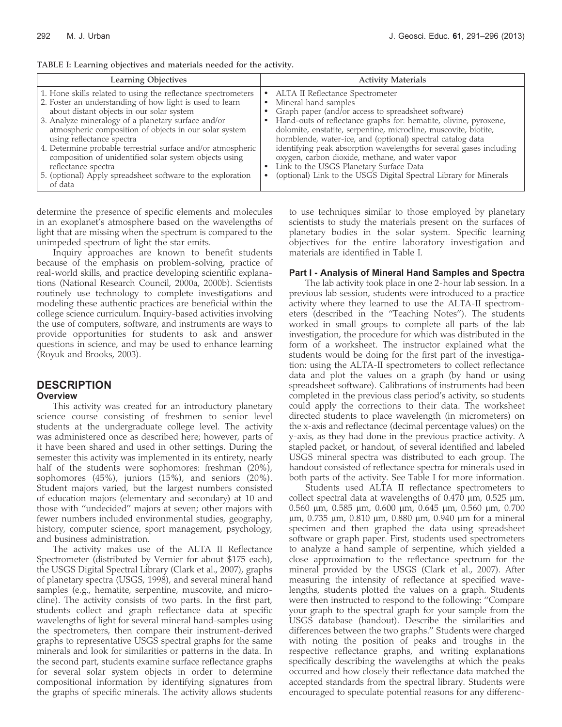| Learning Objectives                                           | <b>Activity Materials</b>                                           |
|---------------------------------------------------------------|---------------------------------------------------------------------|
| 1. Hone skills related to using the reflectance spectrometers | ALTA II Reflectance Spectrometer                                    |
| 2. Foster an understanding of how light is used to learn      | Mineral hand samples                                                |
| about distant objects in our solar system                     | $\bullet$                                                           |
| 3. Analyze mineralogy of a planetary surface and/or           | Graph paper (and/or access to spreadsheet software)                 |
| atmospheric composition of objects in our solar system        | Hand-outs of reflectance graphs for: hematite, olivine, pyroxene,   |
| using reflectance spectra                                     | dolomite, enstatite, serpentine, microcline, muscovite, biotite,    |
| 4. Determine probable terrestrial surface and/or atmospheric  | hornblende, water-ice, and (optional) spectral catalog data         |
| composition of unidentified solar system objects using        | identifying peak absorption wavelengths for several gases including |
| reflectance spectra                                           | oxygen, carbon dioxide, methane, and water vapor                    |
| 5. (optional) Apply spreadsheet software to the exploration   | Link to the USGS Planetary Surface Data                             |
| of data                                                       | (optional) Link to the USGS Digital Spectral Library for Minerals   |

TABLE I: Learning objectives and materials needed for the activity.

determine the presence of specific elements and molecules in an exoplanet's atmosphere based on the wavelengths of light that are missing when the spectrum is compared to the unimpeded spectrum of light the star emits.

Inquiry approaches are known to benefit students because of the emphasis on problem-solving, practice of real-world skills, and practice developing scientific explanations (National Research Council, 2000a, 2000b). Scientists routinely use technology to complete investigations and modeling these authentic practices are beneficial within the college science curriculum. Inquiry-based activities involving the use of computers, software, and instruments are ways to provide opportunities for students to ask and answer questions in science, and may be used to enhance learning (Royuk and Brooks, 2003).

### **DESCRIPTION Overview**

This activity was created for an introductory planetary science course consisting of freshmen to senior level students at the undergraduate college level. The activity was administered once as described here; however, parts of it have been shared and used in other settings. During the semester this activity was implemented in its entirety, nearly half of the students were sophomores: freshman (20%), sophomores (45%), juniors (15%), and seniors (20%). Student majors varied, but the largest numbers consisted of education majors (elementary and secondary) at 10 and those with ''undecided'' majors at seven; other majors with fewer numbers included environmental studies, geography, history, computer science, sport management, psychology, and business administration.

The activity makes use of the ALTA II Reflectance Spectrometer (distributed by Vernier for about \$175 each), the USGS Digital Spectral Library (Clark et al., 2007), graphs of planetary spectra (USGS, 1998), and several mineral hand samples (e.g., hematite, serpentine, muscovite, and microcline). The activity consists of two parts. In the first part, students collect and graph reflectance data at specific wavelengths of light for several mineral hand-samples using the spectrometers, then compare their instrument-derived graphs to representative USGS spectral graphs for the same minerals and look for similarities or patterns in the data. In the second part, students examine surface reflectance graphs for several solar system objects in order to determine compositional information by identifying signatures from the graphs of specific minerals. The activity allows students

to use techniques similar to those employed by planetary scientists to study the materials present on the surfaces of planetary bodies in the solar system. Specific learning objectives for the entire laboratory investigation and materials are identified in Table I.

## Part I - Analysis of Mineral Hand Samples and Spectra

The lab activity took place in one 2-hour lab session. In a previous lab session, students were introduced to a practice activity where they learned to use the ALTA-II spectrometers (described in the ''Teaching Notes''). The students worked in small groups to complete all parts of the lab investigation, the procedure for which was distributed in the form of a worksheet. The instructor explained what the students would be doing for the first part of the investigation: using the ALTA-II spectrometers to collect reflectance data and plot the values on a graph (by hand or using spreadsheet software). Calibrations of instruments had been completed in the previous class period's activity, so students could apply the corrections to their data. The worksheet directed students to place wavelength (in micrometers) on the x-axis and reflectance (decimal percentage values) on the y-axis, as they had done in the previous practice activity. A stapled packet, or handout, of several identified and labeled USGS mineral spectra was distributed to each group. The handout consisted of reflectance spectra for minerals used in both parts of the activity. See Table I for more information.

Students used ALTA II reflectance spectrometers to collect spectral data at wavelengths of  $0.470 \mu m$ ,  $0.525 \mu m$ , 0.560 μm, 0.585 μm, 0.600 μm, 0.645 μm, 0.560 μm, 0.700  $\mu$ m, 0.735  $\mu$ m, 0.810  $\mu$ m, 0.880  $\mu$ m, 0.940  $\mu$ m for a mineral specimen and then graphed the data using spreadsheet software or graph paper. First, students used spectrometers to analyze a hand sample of serpentine, which yielded a close approximation to the reflectance spectrum for the mineral provided by the USGS (Clark et al., 2007). After measuring the intensity of reflectance at specified wavelengths, students plotted the values on a graph. Students were then instructed to respond to the following: ''Compare your graph to the spectral graph for your sample from the USGS database (handout). Describe the similarities and differences between the two graphs.'' Students were charged with noting the position of peaks and troughs in the respective reflectance graphs, and writing explanations specifically describing the wavelengths at which the peaks occurred and how closely their reflectance data matched the accepted standards from the spectral library. Students were encouraged to speculate potential reasons for any differenc-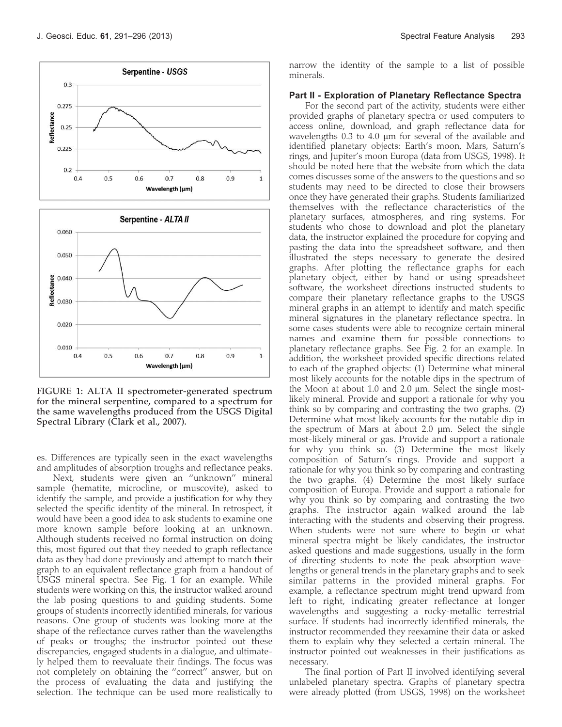

FIGURE 1: ALTA II spectrometer-generated spectrum for the mineral serpentine, compared to a spectrum for the same wavelengths produced from the USGS Digital Spectral Library (Clark et al., 2007).

es. Differences are typically seen in the exact wavelengths and amplitudes of absorption troughs and reflectance peaks.

Next, students were given an ''unknown'' mineral sample (hematite, microcline, or muscovite), asked to identify the sample, and provide a justification for why they selected the specific identity of the mineral. In retrospect, it would have been a good idea to ask students to examine one more known sample before looking at an unknown. Although students received no formal instruction on doing this, most figured out that they needed to graph reflectance data as they had done previously and attempt to match their graph to an equivalent reflectance graph from a handout of USGS mineral spectra. See Fig. 1 for an example. While students were working on this, the instructor walked around the lab posing questions to and guiding students. Some groups of students incorrectly identified minerals, for various reasons. One group of students was looking more at the shape of the reflectance curves rather than the wavelengths of peaks or troughs; the instructor pointed out these discrepancies, engaged students in a dialogue, and ultimately helped them to reevaluate their findings. The focus was not completely on obtaining the ''correct'' answer, but on the process of evaluating the data and justifying the selection. The technique can be used more realistically to

narrow the identity of the sample to a list of possible minerals.

#### Part II - Exploration of Planetary Reflectance Spectra

For the second part of the activity, students were either provided graphs of planetary spectra or used computers to access online, download, and graph reflectance data for wavelengths  $0.3$  to  $4.0 \mu m$  for several of the available and identified planetary objects: Earth's moon, Mars, Saturn's rings, and Jupiter's moon Europa (data from USGS, 1998). It should be noted here that the website from which the data comes discusses some of the answers to the questions and so students may need to be directed to close their browsers once they have generated their graphs. Students familiarized themselves with the reflectance characteristics of the planetary surfaces, atmospheres, and ring systems. For students who chose to download and plot the planetary data, the instructor explained the procedure for copying and pasting the data into the spreadsheet software, and then illustrated the steps necessary to generate the desired graphs. After plotting the reflectance graphs for each planetary object, either by hand or using spreadsheet software, the worksheet directions instructed students to compare their planetary reflectance graphs to the USGS mineral graphs in an attempt to identify and match specific mineral signatures in the planetary reflectance spectra. In some cases students were able to recognize certain mineral names and examine them for possible connections to planetary reflectance graphs. See Fig. 2 for an example. In addition, the worksheet provided specific directions related to each of the graphed objects: (1) Determine what mineral most likely accounts for the notable dips in the spectrum of the Moon at about 1.0 and 2.0  $\mu$ m. Select the single mostlikely mineral. Provide and support a rationale for why you think so by comparing and contrasting the two graphs. (2) Determine what most likely accounts for the notable dip in the spectrum of Mars at about 2.0  $\mu$ m. Select the single most-likely mineral or gas. Provide and support a rationale for why you think so. (3) Determine the most likely composition of Saturn's rings. Provide and support a rationale for why you think so by comparing and contrasting the two graphs. (4) Determine the most likely surface composition of Europa. Provide and support a rationale for why you think so by comparing and contrasting the two graphs. The instructor again walked around the lab interacting with the students and observing their progress. When students were not sure where to begin or what mineral spectra might be likely candidates, the instructor asked questions and made suggestions, usually in the form of directing students to note the peak absorption wavelengths or general trends in the planetary graphs and to seek similar patterns in the provided mineral graphs. For example, a reflectance spectrum might trend upward from left to right, indicating greater reflectance at longer wavelengths and suggesting a rocky-metallic terrestrial surface. If students had incorrectly identified minerals, the instructor recommended they reexamine their data or asked them to explain why they selected a certain mineral. The instructor pointed out weaknesses in their justifications as necessary.

The final portion of Part II involved identifying several unlabeled planetary spectra. Graphs of planetary spectra were already plotted (from USGS, 1998) on the worksheet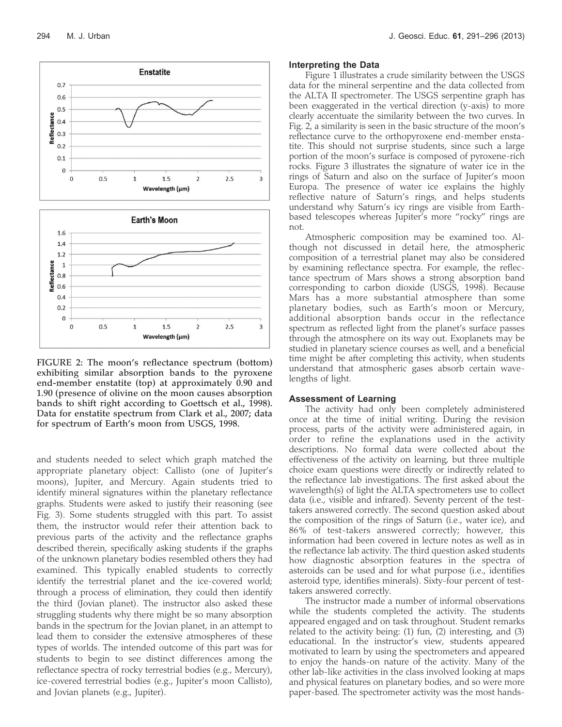

FIGURE 2: The moon's reflectance spectrum (bottom) exhibiting similar absorption bands to the pyroxene end-member enstatite (top) at approximately 0.90 and 1.90 (presence of olivine on the moon causes absorption bands to shift right according to Goettsch et al., 1998). Data for enstatite spectrum from Clark et al., 2007; data for spectrum of Earth's moon from USGS, 1998.

and students needed to select which graph matched the appropriate planetary object: Callisto (one of Jupiter's moons), Jupiter, and Mercury. Again students tried to identify mineral signatures within the planetary reflectance graphs. Students were asked to justify their reasoning (see Fig. 3). Some students struggled with this part. To assist them, the instructor would refer their attention back to previous parts of the activity and the reflectance graphs described therein, specifically asking students if the graphs of the unknown planetary bodies resembled others they had examined. This typically enabled students to correctly identify the terrestrial planet and the ice-covered world; through a process of elimination, they could then identify the third (Jovian planet). The instructor also asked these struggling students why there might be so many absorption bands in the spectrum for the Jovian planet, in an attempt to lead them to consider the extensive atmospheres of these types of worlds. The intended outcome of this part was for students to begin to see distinct differences among the reflectance spectra of rocky terrestrial bodies (e.g., Mercury), ice-covered terrestrial bodies (e.g., Jupiter's moon Callisto), and Jovian planets (e.g., Jupiter).

#### Interpreting the Data

Figure 1 illustrates a crude similarity between the USGS data for the mineral serpentine and the data collected from the ALTA II spectrometer. The USGS serpentine graph has been exaggerated in the vertical direction (y-axis) to more clearly accentuate the similarity between the two curves. In Fig. 2, a similarity is seen in the basic structure of the moon's reflectance curve to the orthopyroxene end-member enstatite. This should not surprise students, since such a large portion of the moon's surface is composed of pyroxene-rich rocks. Figure 3 illustrates the signature of water ice in the rings of Saturn and also on the surface of Jupiter's moon Europa. The presence of water ice explains the highly reflective nature of Saturn's rings, and helps students understand why Saturn's icy rings are visible from Earthbased telescopes whereas Jupiter's more ''rocky'' rings are not.

Atmospheric composition may be examined too. Although not discussed in detail here, the atmospheric composition of a terrestrial planet may also be considered by examining reflectance spectra. For example, the reflectance spectrum of Mars shows a strong absorption band corresponding to carbon dioxide (USGS, 1998). Because Mars has a more substantial atmosphere than some planetary bodies, such as Earth's moon or Mercury, additional absorption bands occur in the reflectance spectrum as reflected light from the planet's surface passes through the atmosphere on its way out. Exoplanets may be studied in planetary science courses as well, and a beneficial time might be after completing this activity, when students understand that atmospheric gases absorb certain wavelengths of light.

#### Assessment of Learning

The activity had only been completely administered once at the time of initial writing. During the revision process, parts of the activity were administered again, in order to refine the explanations used in the activity descriptions. No formal data were collected about the effectiveness of the activity on learning, but three multiple choice exam questions were directly or indirectly related to the reflectance lab investigations. The first asked about the wavelength(s) of light the ALTA spectrometers use to collect data (i.e., visible and infrared). Seventy percent of the testtakers answered correctly. The second question asked about the composition of the rings of Saturn (i.e., water ice), and 86% of test-takers answered correctly; however, this information had been covered in lecture notes as well as in the reflectance lab activity. The third question asked students how diagnostic absorption features in the spectra of asteroids can be used and for what purpose (i.e., identifies asteroid type, identifies minerals). Sixty-four percent of testtakers answered correctly.

The instructor made a number of informal observations while the students completed the activity. The students appeared engaged and on task throughout. Student remarks related to the activity being: (1) fun, (2) interesting, and (3) educational. In the instructor's view, students appeared motivated to learn by using the spectrometers and appeared to enjoy the hands-on nature of the activity. Many of the other lab-like activities in the class involved looking at maps and physical features on planetary bodies, and so were more paper-based. The spectrometer activity was the most hands-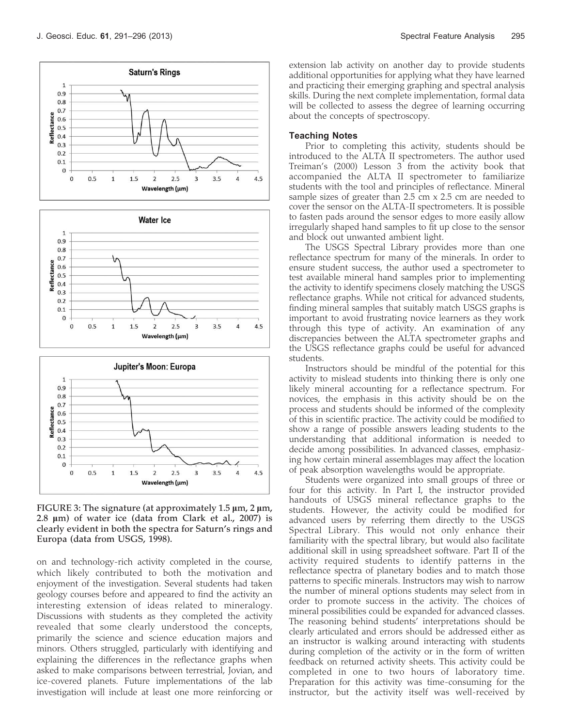





FIGURE 3: The signature (at approximately  $1.5 \mu m$ ,  $2 \mu m$ , 2.8  $\mu$ m) of water ice (data from Clark et al., 2007) is clearly evident in both the spectra for Saturn's rings and Europa (data from USGS, 1998).

on and technology-rich activity completed in the course, which likely contributed to both the motivation and enjoyment of the investigation. Several students had taken geology courses before and appeared to find the activity an interesting extension of ideas related to mineralogy. Discussions with students as they completed the activity revealed that some clearly understood the concepts, primarily the science and science education majors and minors. Others struggled, particularly with identifying and explaining the differences in the reflectance graphs when asked to make comparisons between terrestrial, Jovian, and ice-covered planets. Future implementations of the lab investigation will include at least one more reinforcing or

extension lab activity on another day to provide students additional opportunities for applying what they have learned and practicing their emerging graphing and spectral analysis skills. During the next complete implementation, formal data will be collected to assess the degree of learning occurring about the concepts of spectroscopy.

#### Teaching Notes

Prior to completing this activity, students should be introduced to the ALTA II spectrometers. The author used Treiman's (2000) Lesson 3 from the activity book that accompanied the ALTA II spectrometer to familiarize students with the tool and principles of reflectance. Mineral sample sizes of greater than 2.5 cm x 2.5 cm are needed to cover the sensor on the ALTA-II spectrometers. It is possible to fasten pads around the sensor edges to more easily allow irregularly shaped hand samples to fit up close to the sensor and block out unwanted ambient light.

The USGS Spectral Library provides more than one reflectance spectrum for many of the minerals. In order to ensure student success, the author used a spectrometer to test available mineral hand samples prior to implementing the activity to identify specimens closely matching the USGS reflectance graphs. While not critical for advanced students, finding mineral samples that suitably match USGS graphs is important to avoid frustrating novice learners as they work through this type of activity. An examination of any discrepancies between the ALTA spectrometer graphs and the USGS reflectance graphs could be useful for advanced students.

Instructors should be mindful of the potential for this activity to mislead students into thinking there is only one likely mineral accounting for a reflectance spectrum. For novices, the emphasis in this activity should be on the process and students should be informed of the complexity of this in scientific practice. The activity could be modified to show a range of possible answers leading students to the understanding that additional information is needed to decide among possibilities. In advanced classes, emphasizing how certain mineral assemblages may affect the location of peak absorption wavelengths would be appropriate.

Students were organized into small groups of three or four for this activity. In Part I, the instructor provided handouts of USGS mineral reflectance graphs to the students. However, the activity could be modified for advanced users by referring them directly to the USGS Spectral Library. This would not only enhance their familiarity with the spectral library, but would also facilitate additional skill in using spreadsheet software. Part II of the activity required students to identify patterns in the reflectance spectra of planetary bodies and to match those patterns to specific minerals. Instructors may wish to narrow the number of mineral options students may select from in order to promote success in the activity. The choices of mineral possibilities could be expanded for advanced classes. The reasoning behind students' interpretations should be clearly articulated and errors should be addressed either as an instructor is walking around interacting with students during completion of the activity or in the form of written feedback on returned activity sheets. This activity could be completed in one to two hours of laboratory time. Preparation for this activity was time-consuming for the instructor, but the activity itself was well-received by